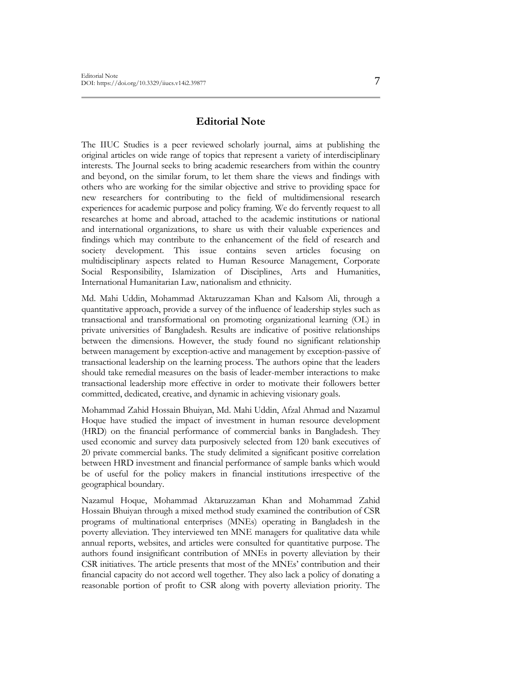## **Editorial Note**

The IIUC Studies is a peer reviewed scholarly journal, aims at publishing the original articles on wide range of topics that represent a variety of interdisciplinary interests. The Journal seeks to bring academic researchers from within the country and beyond, on the similar forum, to let them share the views and findings with others who are working for the similar objective and strive to providing space for new researchers for contributing to the field of multidimensional research experiences for academic purpose and policy framing. We do fervently request to all researches at home and abroad, attached to the academic institutions or national and international organizations, to share us with their valuable experiences and findings which may contribute to the enhancement of the field of research and society development. This issue contains seven articles focusing on multidisciplinary aspects related to Human Resource Management, Corporate Social Responsibility, Islamization of Disciplines, Arts and Humanities, International Humanitarian Law, nationalism and ethnicity.

Md. Mahi Uddin, Mohammad Aktaruzzaman Khan and Kalsom Ali, through a quantitative approach, provide a survey of the influence of leadership styles such as transactional and transformational on promoting organizational learning (OL) in private universities of Bangladesh. Results are indicative of positive relationships between the dimensions. However, the study found no significant relationship between management by exception-active and management by exception-passive of transactional leadership on the learning process. The authors opine that the leaders should take remedial measures on the basis of leader-member interactions to make transactional leadership more effective in order to motivate their followers better committed, dedicated, creative, and dynamic in achieving visionary goals.

Mohammad Zahid Hossain Bhuiyan, Md. Mahi Uddin, Afzal Ahmad and Nazamul Hoque have studied the impact of investment in human resource development (HRD) on the financial performance of commercial banks in Bangladesh. They used economic and survey data purposively selected from 120 bank executives of 20 private commercial banks. The study delimited a significant positive correlation between HRD investment and financial performance of sample banks which would be of useful for the policy makers in financial institutions irrespective of the geographical boundary.

Nazamul Hoque, Mohammad Aktaruzzaman Khan and Mohammad Zahid Hossain Bhuiyan through a mixed method study examined the contribution of CSR programs of multinational enterprises (MNEs) operating in Bangladesh in the poverty alleviation. They interviewed ten MNE managers for qualitative data while annual reports, websites, and articles were consulted for quantitative purpose. The authors found insignificant contribution of MNEs in poverty alleviation by their CSR initiatives. The article presents that most of the MNEs' contribution and their financial capacity do not accord well together. They also lack a policy of donating a reasonable portion of profit to CSR along with poverty alleviation priority. The